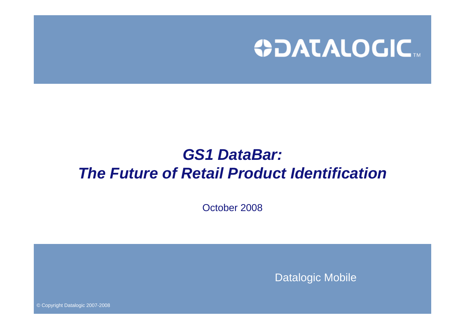

# *GS1 DataBar: The Future of Retail Product Identification*

October 2008

Datalogic Mobile

© Copyright Datalogic 2007-2008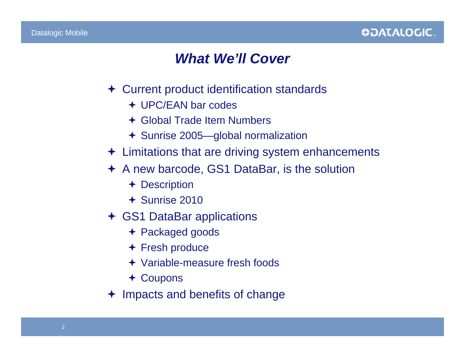

#### *What We'll Cover*

- Current product identification standards
	- UPC/EAN bar codes
	- Global Trade Item Numbers
	- Sunrise 2005—global normalization
- $\div$  Limitations that are driving system enhancements
- A new barcode, GS1 DataBar, is the solution
	- + Description
	- Sunrise 2010
- GS1 DataBar applications
	- Packaged goods
	- Fresh produce
	- Variable-measure fresh foods
	- Coupons
- Impacts and benefits of change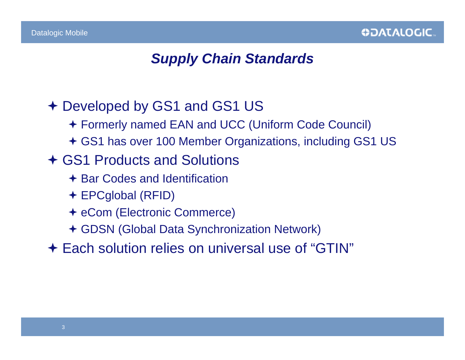#### *Supply Chain Standards*

- Developed by GS1 and GS1 US
	- Formerly named EAN and UCC (Uniform Code Council)
	- GS1 has over 100 Member Organizations, including GS1 US
- GS1 Products and Solutions
	- **← Bar Codes and Identification**
	- EPCglobal (RFID)
	- eCom (Electronic Commerce)
	- GDSN (Global Data Synchronization Network)
- Each solution relies on universal use of "GTIN"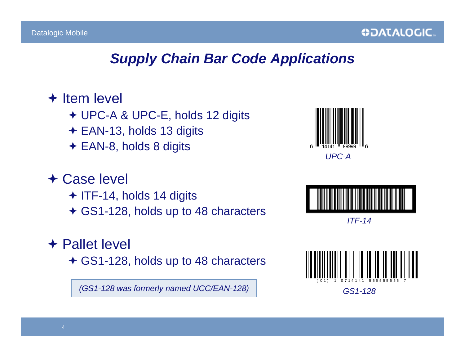#### *Supply Chain Bar Code Applications*

#### $+$  Item level

- UPC-A & UPC-E, holds 12 digits
- EAN-13, holds 13 digits
- **← EAN-8, holds 8 digits**

# Case level

 $+$  ITF-14, holds 14 digits GS1-128, holds up to 48 characters

#### **← Pallet level**

GS1-128, holds up to 48 characters

*(GS1-128 was formerly named UCC/EAN-128)*





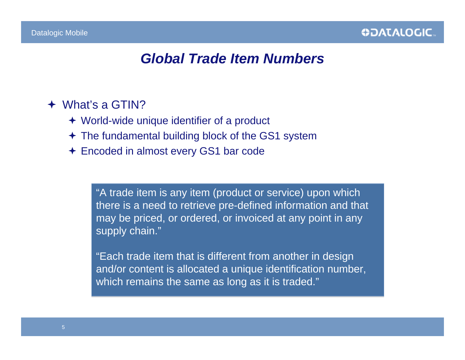#### *Global Trade Item Numbers*

#### What's a GTIN?

- World-wide unique identifier of a product
- The fundamental building block of the GS1 system
- Encoded in almost every GS1 bar code

"A trade item is any item (product or service) upon which "A trade item is any item (product or service) upon which there is a need to retrieve pre-defined information and that there is a need to retrieve pre-defined information and that may be priced, or ordered, or invoiced at any point in any may be priced, or ordered, or invoiced at any point in any supply chain." supply chain."

"Each trade item that is different from another in design "Each trade item that is different from another in design and/or content is allocated a unique identification number, and/or content is allocated a unique identification number, which remains the same as long as it is traded." which remains the same as long as it is traded."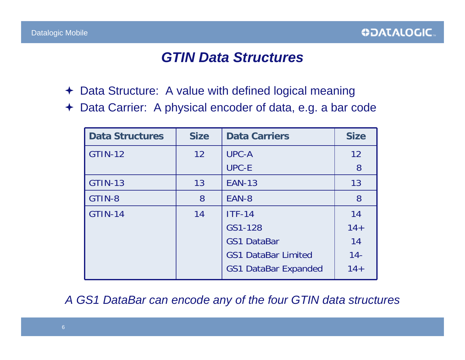#### *GTIN Data Structures*

- Data Structure: A value with defined logical meaning
- Data Carrier: A physical encoder of data, e.g. a bar code

| <b>Data Structures</b> | <b>Size</b> | <b>Data Carriers</b>        | <b>Size</b> |
|------------------------|-------------|-----------------------------|-------------|
| <b>GTIN-12</b>         | 12          | <b>UPC-A</b>                | 12          |
|                        |             | <b>UPC-E</b>                | 8           |
| <b>GTIN-13</b>         | 13          | <b>EAN-13</b>               | 13          |
| GTIN-8                 | 8           | EAN-8                       | 8           |
| <b>GTIN-14</b>         | 14          | $ITF-14$                    | 14          |
|                        |             | GS1-128                     | $14 +$      |
|                        |             | <b>GS1 DataBar</b>          | 14          |
|                        |             | <b>GS1 DataBar Limited</b>  | $14 -$      |
|                        |             | <b>GS1 DataBar Expanded</b> | $14 +$      |

*A GS1 DataBar can encode any of the four GTIN data structures*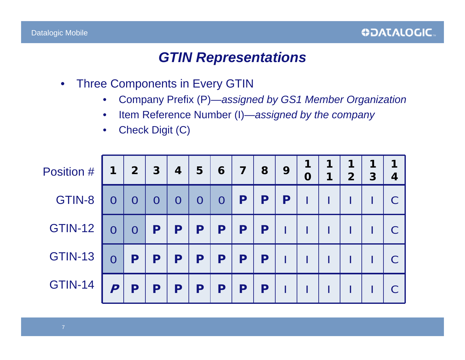#### *GTIN Representations*

- Three Components in Every GTIN
	- Company Prefix (P)—*assigned by GS1 Member Organization*
	- Item Reference Number (I)—*assigned by the company*
	- Check Digit (C)

| Position #     | 1                | 2 <sup>2</sup> | $3\phantom{a}$ | 4              | 5              | 6              | $\overline{7}$ | 8 | 9 | 1<br>$\mathbf 0$ | 1<br>1 | 1<br>$\overline{2}$ | 1<br>3 | $\overline{4}$ |
|----------------|------------------|----------------|----------------|----------------|----------------|----------------|----------------|---|---|------------------|--------|---------------------|--------|----------------|
| GTIN-8         | $\overline{0}$   | $\overline{0}$ | $\overline{0}$ | $\overline{0}$ | $\overline{0}$ | $\overline{0}$ | P              | P | P |                  |        |                     |        |                |
| <b>GTIN-12</b> | $\overline{0}$   | $\overline{0}$ | P              | P              | P              | P              | P              | P |   |                  |        |                     |        |                |
| <b>GTIN-13</b> | $\overline{0}$   | P              | P              | P              | P              | P              | P              | P |   |                  |        |                     |        |                |
| <b>GTIN-14</b> | $\boldsymbol{P}$ | P              | P              | P              | P              | P              | P              | P |   |                  |        |                     |        |                |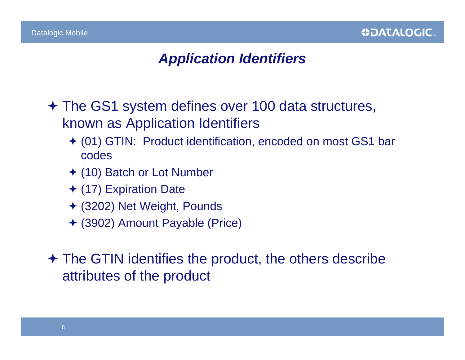# *Application Identifiers*

- The GS1 system defines over 100 data structures, known as Application Identifiers
	- (01) GTIN: Product identification, encoded on most GS1 bar codes
	- (10) Batch or Lot Number
	- (17) Expiration Date
	- (3202) Net Weight, Pounds
	- (3902) Amount Payable (Price)

 The GTIN identifies the product, the others describe attributes of the product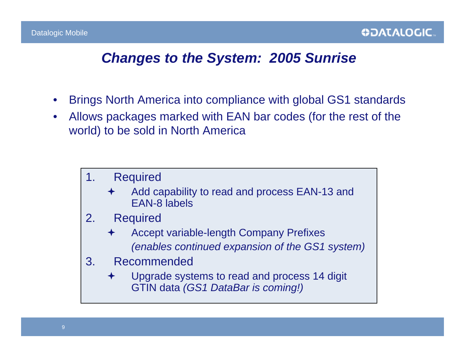#### *Changes to the System: 2005 Sunrise*

- Brings North America into compliance with global GS1 standards
- Allows packages marked with EAN bar codes (for the rest of the world) to be sold in North America

#### 1. Required

- $\bigstar$  Add capability to read and process EAN-13 and EAN-8 labels
- 2. Required
	- $\bigstar$  Accept variable-length Company Prefixes *(enables continued expansion of the GS1 system)*
- 3. Recommended
	- $\bigstar$  Upgrade systems to read and process 14 digit GTIN data *(GS1 DataBar is coming!)*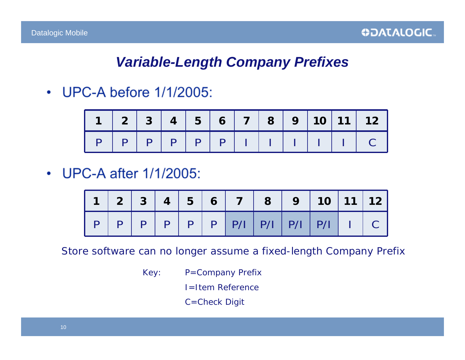# *Variable-Length Company Prefixes*

• UPC-A before 1/1/2005:

|                                                     | $1 \ 2 \ 3 \ 4 \ 5 \ 6 \ 7 \ 8 \ 9 \ 10 \ 11 \ 1$ |  |  |  |  |  |
|-----------------------------------------------------|---------------------------------------------------|--|--|--|--|--|
| $P   P   P   P   P   P   P   I   I   I   I   I   C$ |                                                   |  |  |  |  |  |

• UPC-A after 1/1/2005:

*Store software can no longer assume a fixed-length Company Prefix*

- Key: P=Company Prefix
	- I=Item Reference
	- C=Check Digit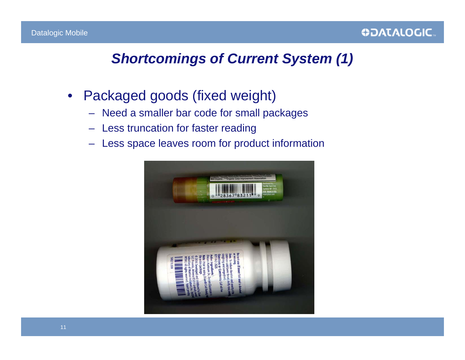### *Shortcomings of Current System (1)*

- Packaged goods (fixed weight)
	- Need a smaller bar code for small packages
	- Less truncation for faster reading
	- Less space leaves room for product information

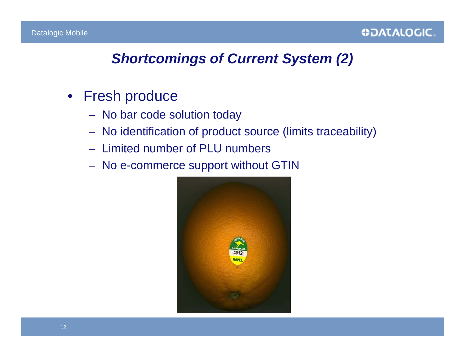# *Shortcomings of Current System (2)*

- Fresh produce
	- No bar code solution today
	- No identification of product source (limits traceability)
	- Limited number of PLU numbers
	- No e-commerce support without GTIN

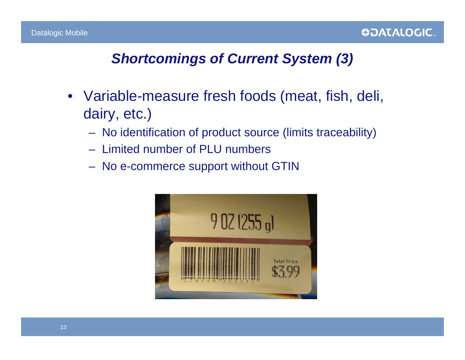# *Shortcomings of Current System (3)*

- Variable-measure fresh foods (meat, fish, deli, dairy, etc.)
	- No identification of product source (limits traceability)
	- Limited number of PLU numbers
	- No e-commerce support without GTIN

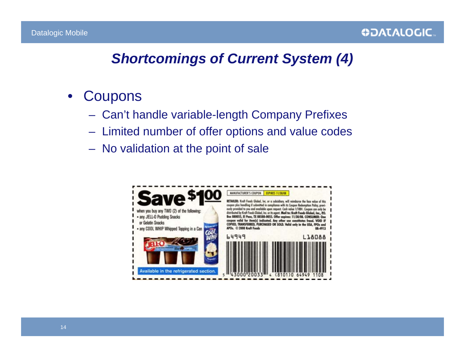# *Shortcomings of Current System (4)*

- Coupons
	- Can't handle variable-length Company Prefixes
	- Limited number of offer options and value codes
	- No validation at the point of sale

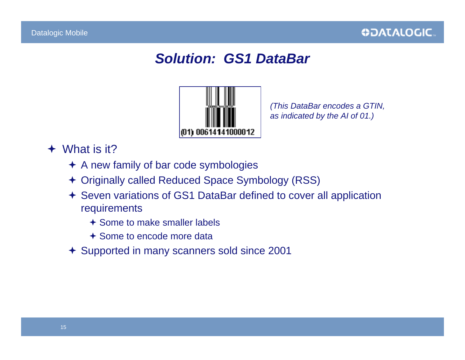# *Solution: GS1 DataBar*



*(This DataBar encodes a GTIN, as indicated by the AI of 01.)*

- What is it?
	- A new family of bar code symbologies
	- Originally called Reduced Space Symbology (RSS)
	- Seven variations of GS1 DataBar defined to cover all application requirements
		- Some to make smaller labels
		- Some to encode more data
	- Supported in many scanners sold since 2001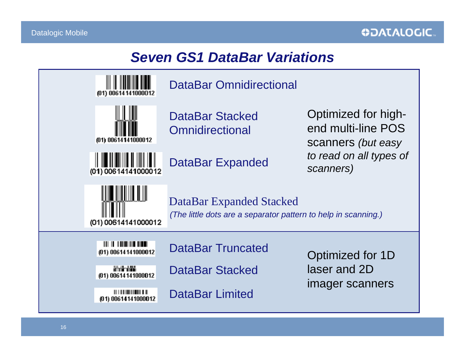#### *Seven GS1 DataBar Variations*

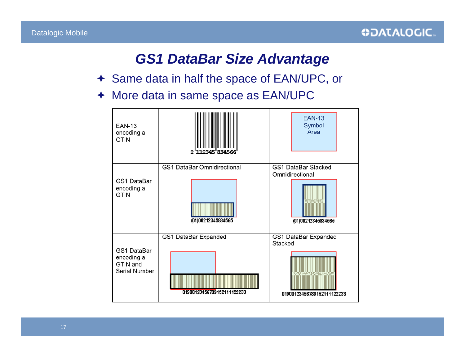#### *GS1 DataBar Size Advantage*

- Same data in half the space of EAN/UPC, or
- ← More data in same space as EAN/UPC

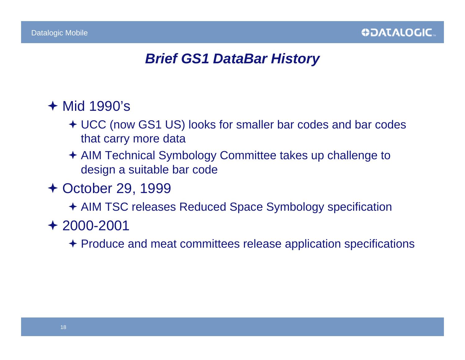#### *Brief GS1 DataBar History*

### Mid 1990's

- UCC (now GS1 US) looks for smaller bar codes and bar codes that carry more data
- AIM Technical Symbology Committee takes up challenge to design a suitable bar code
- October 29, 1999

AIM TSC releases Reduced Space Symbology specification

2000-2001

Produce and meat committees release application specifications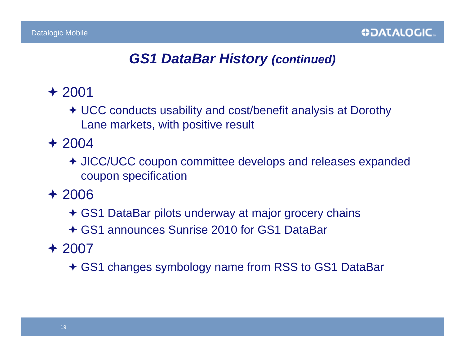## *GS1 DataBar History (continued)*

### $+2001$

 UCC conducts usability and cost/benefit analysis at Dorothy Lane markets, with positive result

# $+2004$

 JICC/UCC coupon committee develops and releases expanded coupon specification

#### 2006

- GS1 DataBar pilots underway at major grocery chains
- GS1 announces Sunrise 2010 for GS1 DataBar

# 2007

GS1 changes symbology name from RSS to GS1 DataBar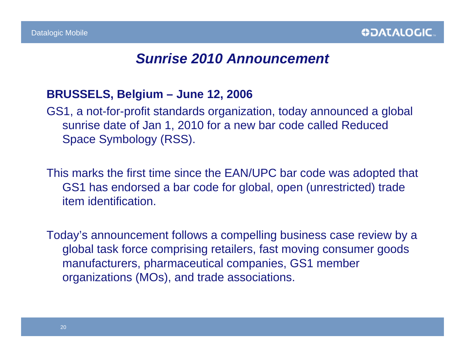#### *Sunrise 2010 Announcement*

#### **BRUSSELS, Belgium – June 12, 2006**

GS1, a not-for-profit standards organization, today announced a global sunrise date of Jan 1, 2010 for a new bar code called Reduced Space Symbology (RSS).

This marks the first time since the EAN/UPC bar code was adopted that GS1 has endorsed a bar code for global, open (unrestricted) trade item identification.

Today's announcement follows a compelling business case review by a global task force comprising retailers, fast moving consumer goods manufacturers, pharmaceutical companies, GS1 member organizations (MOs), and trade associations.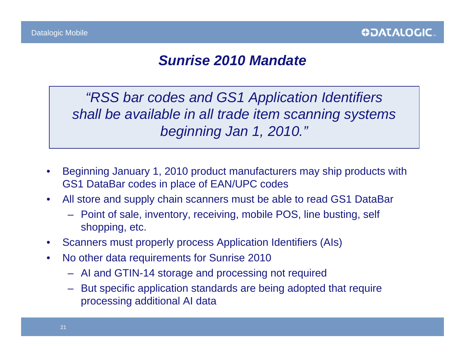#### *Sunrise 2010 Mandate*

*"RSS bar codes and GS1 Application Identifiers shall be available in all trade item scanning systems beginning Jan 1, 2010."*

- Beginning January 1, 2010 product manufacturers may ship products with GS1 DataBar codes in place of EAN/UPC codes
- All store and supply chain scanners must be able to read GS1 DataBar
	- Point of sale, inventory, receiving, mobile POS, line busting, self shopping, etc.
- Scanners must properly process Application Identifiers (AIs)
- No other data requirements for Sunrise 2010
	- AI and GTIN-14 storage and processing not required
	- But specific application standards are being adopted that require processing additional AI data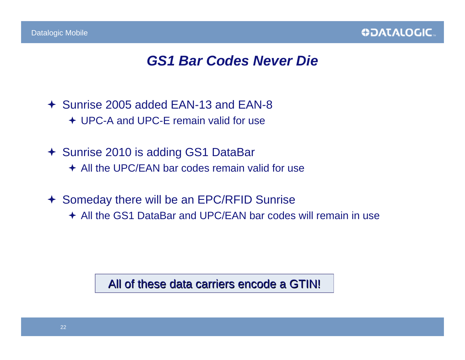#### *GS1 Bar Codes Never Die*

 Sunrise 2005 added EAN-13 and EAN-8 UPC-A and UPC-E remain valid for use

- 
- Sunrise 2010 is adding GS1 DataBar
	- **← All the UPC/EAN bar codes remain valid for use**
- Someday there will be an EPC/RFID Sunrise
	- All the GS1 DataBar and UPC/EAN bar codes will remain in use

All of these data carriers encode a GTIN!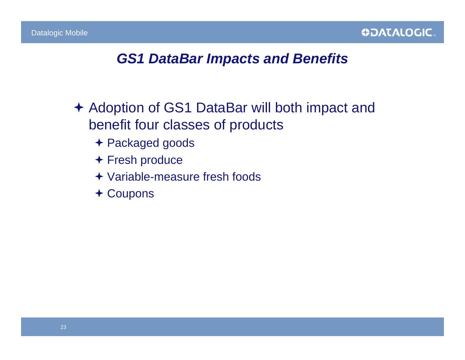#### *GS1 DataBar Impacts and Benefits*

- Adoption of GS1 DataBar will both impact and benefit four classes of products
	- Packaged goods
	- Fresh produce
	- Variable-measure fresh foods
	- Coupons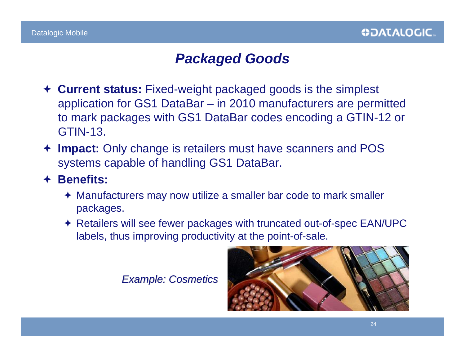#### *Packaged Goods*

- **Current status:** Fixed-weight packaged goods is the simplest application for GS1 DataBar – in 2010 manufacturers are permitted to mark packages with GS1 DataBar codes encoding a GTIN-12 or GTIN-13.
- **Impact:** Only change is retailers must have scanners and POS systems capable of handling GS1 DataBar.
- **Benefits:**
	- Manufacturers may now utilize a smaller bar code to mark smaller packages.
	- Retailers will see fewer packages with truncated out-of-spec EAN/UPC labels, thus improving productivity at the point-of-sale.

*Example: Cosmetics Example: Cosmetics*

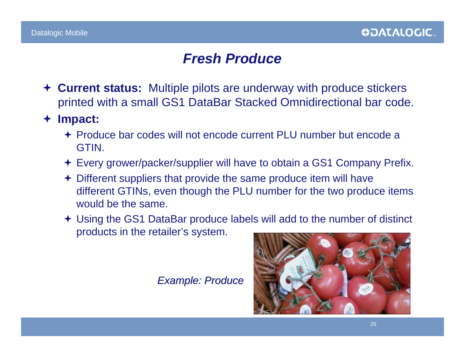#### *Fresh Produce*

- **Current status:** Multiple pilots are underway with produce stickers printed with a small GS1 DataBar Stacked Omnidirectional bar code.
- $\bigstar$  **Impact:**
	- Produce bar codes will not encode current PLU number but encode a GTIN.
	- Every grower/packer/supplier will have to obtain a GS1 Company Prefix.
	- Different suppliers that provide the same produce item will have different GTINs, even though the PLU number for the two produce items would be the same.
	- Using the GS1 DataBar produce labels will add to the number of distinct products in the retailer's system.

*Example: Produce Example: Produce*

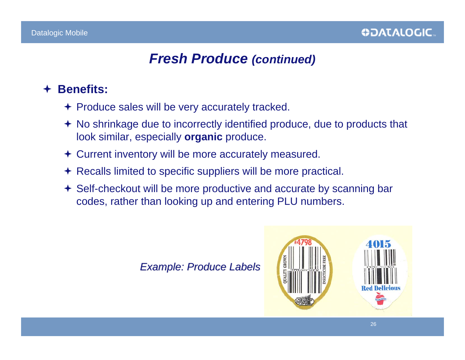#### *Fresh Produce (continued)*

#### $\bigstar$ **Benefits:**

- $\div$  Produce sales will be very accurately tracked.
- No shrinkage due to incorrectly identified produce, due to products that look similar, especially **organic** produce.
- Current inventory will be more accurately measured.
- Recalls limited to specific suppliers will be more practical.
- Self-checkout will be more productive and accurate by scanning bar codes, rather than looking up and entering PLU numbers.

*Example: Produce Labels Example: Produce Labels*

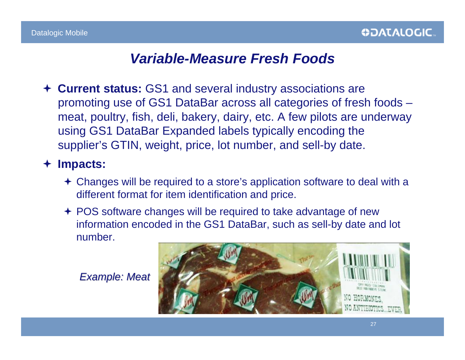#### *Variable-Measure Fresh Foods*

 **Current status:** GS1 and several industry associations are promoting use of GS1 DataBar across all categories of fresh foods – meat, poultry, fish, deli, bakery, dairy, etc. A few pilots are underway using GS1 DataBar Expanded labels typically encoding the supplier's GTIN, weight, price, lot number, and sell-by date.

#### **Impacts:**

- Changes will be required to a store's application software to deal with a different format for item identification and price.
- ← POS software changes will be required to take advantage of new information encoded in the GS1 DataBar, such as sell-by date and lot number.

*Example: Meat Example: Meat*

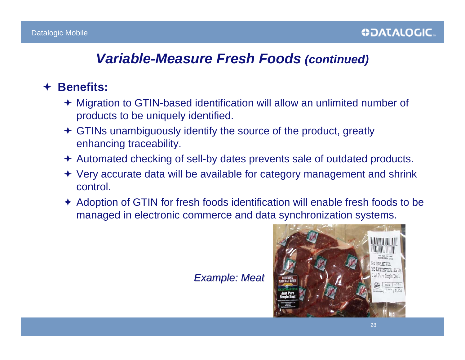#### *Variable-Measure Fresh Foods (continued)*

#### $\bigstar$ **Benefits:**

- Migration to GTIN-based identification will allow an unlimited number of products to be uniquely identified.
- GTINs unambiguously identify the source of the product, greatly enhancing traceability.
- Automated checking of sell-by dates prevents sale of outdated products.
- Very accurate data will be available for category management and shrink control.
- Adoption of GTIN for fresh foods identification will enable fresh foods to be managed in electronic commerce and data synchronization systems.

#### *Example: Meat Example: Meat*

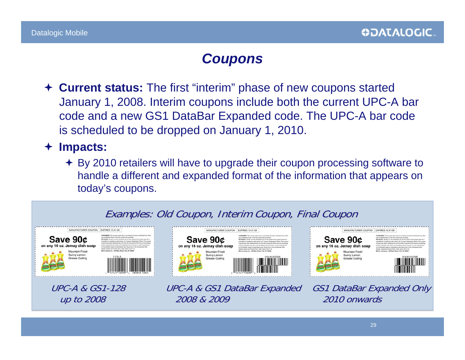### *Coupons*

 **Current status:** The first "interim" phase of new coupons started January 1, 2008. Interim coupons include both the current UPC-A bar code and a new GS1 DataBar Expanded code. The UPC-A bar code is scheduled to be dropped on January 1, 2010.

#### **Impacts:**

◆ By 2010 retailers will have to upgrade their coupon processing software to handle a different and expanded format of the information that appears on today's coupons.

#### Examples: Old Coupon, Interim Coupon, Final Coupon



on any 16 oz. Jemay dish soap Mountain Fresh Mother Assumption, AND Motor Street Clay ST, AND Sunny Lomon **Grease Cutting** 

Save 90¢

MANUFACTURER COUPON EXPIRES 12-31-08

UPC-A & GS1 DataBar Expanded GS1 DataBar Expanded Only up to 2008 up to 2008 2008 & 2009 2008 & 2009 2010 onwards 2010 onwards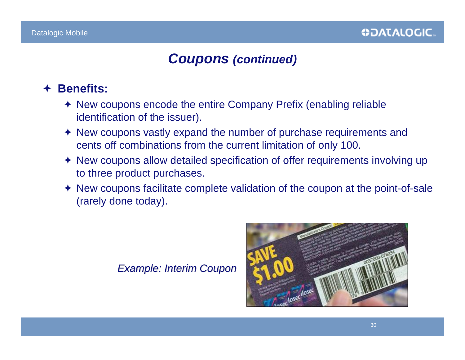#### *Coupons (continued)*

#### $\bigstar$ **Benefits:**

- New coupons encode the entire Company Prefix (enabling reliable identification of the issuer).
- New coupons vastly expand the number of purchase requirements and cents off combinations from the current limitation of only 100.
- New coupons allow detailed specification of offer requirements involving up to three product purchases.
- New coupons facilitate complete validation of the coupon at the point-of-sale (rarely done today).

*Example: Interim Coupon Example: Interim Coupon*

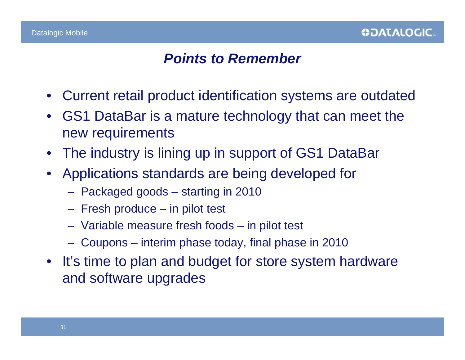#### *Points to Remember*

- Current retail product identification systems are outdated
- GS1 DataBar is a mature technology that can meet the new requirements
- The industry is lining up in support of GS1 DataBar
- Applications standards are being developed for
	- Packaged goods starting in 2010
	- Fresh produce in pilot test
	- Variable measure fresh foods in pilot test
	- Coupons interim phase today, final phase in 2010
- It's time to plan and budget for store system hardware and software upgrades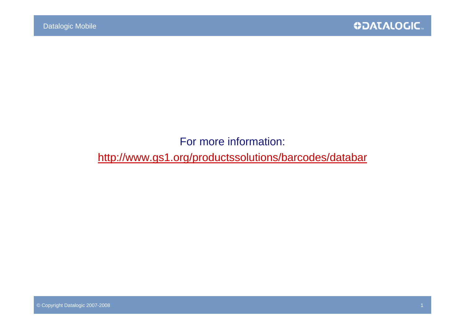#### For more information:

http://www.gs1.org/productssolutions/barcodes/databar